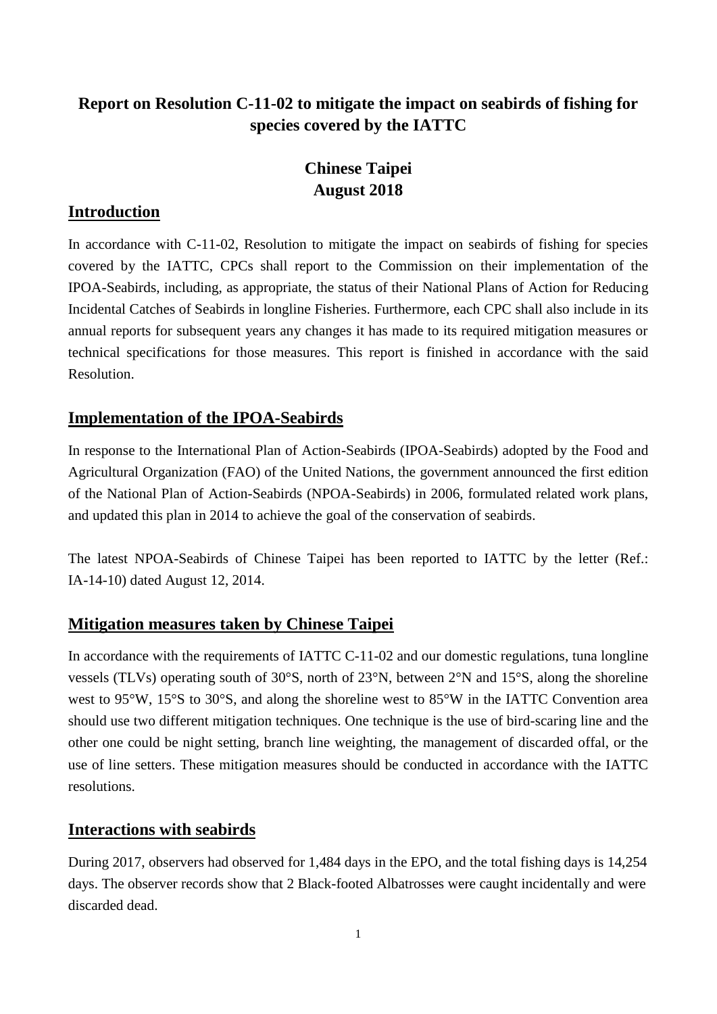# **Report on Resolution C-11-02 to mitigate the impact on seabirds of fishing for species covered by the IATTC**

# **Chinese Taipei August 2018**

## **Introduction**

In accordance with C-11-02, Resolution to mitigate the impact on seabirds of fishing for species covered by the IATTC, CPCs shall report to the Commission on their implementation of the IPOA-Seabirds, including, as appropriate, the status of their National Plans of Action for Reducing Incidental Catches of Seabirds in longline Fisheries. Furthermore, each CPC shall also include in its annual reports for subsequent years any changes it has made to its required mitigation measures or technical specifications for those measures. This report is finished in accordance with the said Resolution.

## **Implementation of the IPOA-Seabirds**

In response to the International Plan of Action-Seabirds (IPOA-Seabirds) adopted by the Food and Agricultural Organization (FAO) of the United Nations, the government announced the first edition of the National Plan of Action-Seabirds (NPOA-Seabirds) in 2006, formulated related work plans, and updated this plan in 2014 to achieve the goal of the conservation of seabirds.

The latest NPOA-Seabirds of Chinese Taipei has been reported to IATTC by the letter (Ref.: IA-14-10) dated August 12, 2014.

### **Mitigation measures taken by Chinese Taipei**

In accordance with the requirements of IATTC C-11-02 and our domestic regulations, tuna longline vessels (TLVs) operating south of 30°S, north of 23°N, between 2°N and 15°S, along the shoreline west to 95°W, 15°S to 30°S, and along the shoreline west to 85°W in the IATTC Convention area should use two different mitigation techniques. One technique is the use of bird-scaring line and the other one could be night setting, branch line weighting, the management of discarded offal, or the use of line setters. These mitigation measures should be conducted in accordance with the IATTC resolutions.

### **Interactions with seabirds**

During 2017, observers had observed for 1,484 days in the EPO, and the total fishing days is 14,254 days. The observer records show that 2 Black-footed Albatrosses were caught incidentally and were discarded dead.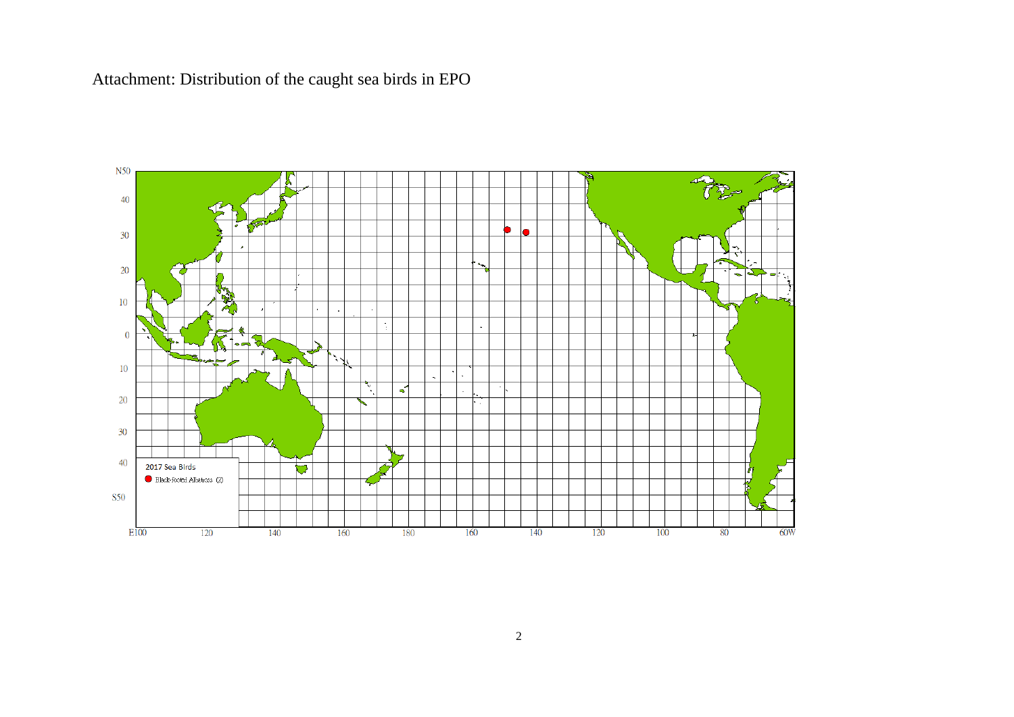Attachment: Distribution of the caught sea birds in EPO

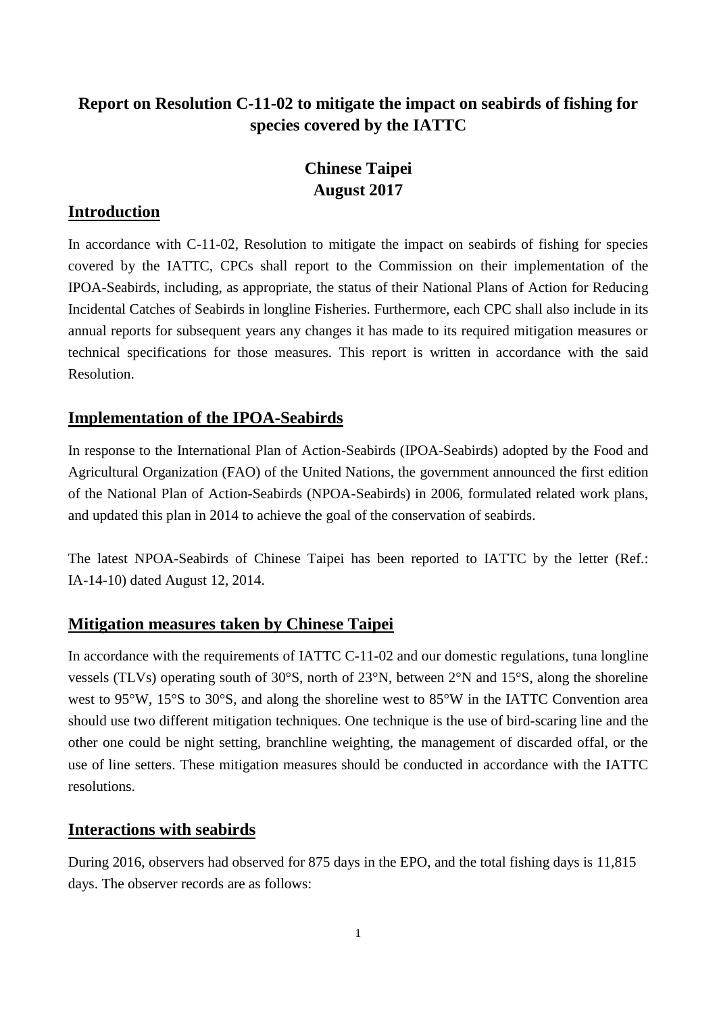# **Report on Resolution C-11-02 to mitigate the impact on seabirds of fishing for species covered by the IATTC**

# **Chinese Taipei August 2017**

### **Introduction**

In accordance with C-11-02, Resolution to mitigate the impact on seabirds of fishing for species covered by the IATTC, CPCs shall report to the Commission on their implementation of the IPOA-Seabirds, including, as appropriate, the status of their National Plans of Action for Reducing Incidental Catches of Seabirds in longline Fisheries. Furthermore, each CPC shall also include in its annual reports for subsequent years any changes it has made to its required mitigation measures or technical specifications for those measures. This report is written in accordance with the said Resolution.

## **Implementation of the IPOA-Seabirds**

In response to the International Plan of Action-Seabirds (IPOA-Seabirds) adopted by the Food and Agricultural Organization (FAO) of the United Nations, the government announced the first edition of the National Plan of Action-Seabirds (NPOA-Seabirds) in 2006, formulated related work plans, and updated this plan in 2014 to achieve the goal of the conservation of seabirds.

The latest NPOA-Seabirds of Chinese Taipei has been reported to IATTC by the letter (Ref.: IA-14-10) dated August 12, 2014.

### **Mitigation measures taken by Chinese Taipei**

In accordance with the requirements of IATTC C-11-02 and our domestic regulations, tuna longline vessels (TLVs) operating south of 30°S, north of 23°N, between 2°N and 15°S, along the shoreline west to 95°W, 15°S to 30°S, and along the shoreline west to 85°W in the IATTC Convention area should use two different mitigation techniques. One technique is the use of bird-scaring line and the other one could be night setting, branchline weighting, the management of discarded offal, or the use of line setters. These mitigation measures should be conducted in accordance with the IATTC resolutions.

### **Interactions with seabirds**

During 2016, observers had observed for 875 days in the EPO, and the total fishing days is 11,815 days. The observer records are as follows: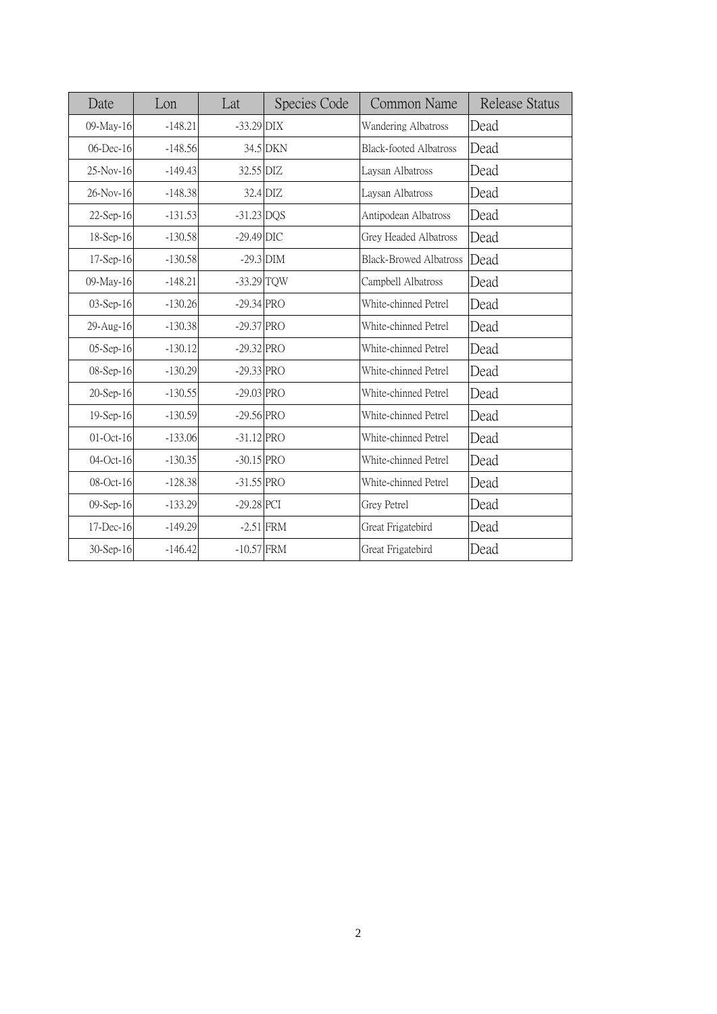| Date            | Lon       | Lat          | Species Code | Common Name                   | Release Status |
|-----------------|-----------|--------------|--------------|-------------------------------|----------------|
| 09-May-16       | $-148.21$ | $-33.29$ DIX |              | Wandering Albatross           | Dead           |
| $06$ -Dec-16    | $-148.56$ |              | 34.5 DKN     | <b>Black-footed Albatross</b> | Dead           |
| 25-Nov-16       | $-149.43$ | 32.55 DIZ    |              | Laysan Albatross              | Dead           |
| 26-Nov-16       | $-148.38$ |              | 32.4 DIZ     | Laysan Albatross              | Dead           |
| 22-Sep-16       | $-131.53$ | $-31.23$ DQS |              | Antipodean Albatross          | Dead           |
| 18-Sep-16       | $-130.58$ | $-29.49$ DIC |              | Grey Headed Albatross         | Dead           |
| 17-Sep-16       | $-130.58$ |              | $-29.3$ DIM  | <b>Black-Browed Albatross</b> | Dead           |
| 09-May-16       | $-148.21$ | $-33.29$ TQW |              | Campbell Albatross            | Dead           |
| 03-Sep-16       | $-130.26$ | $-29.34$ PRO |              | White-chinned Petrel          | Dead           |
| 29-Aug-16       | $-130.38$ | $-29.37$ PRO |              | White-chinned Petrel          | Dead           |
| 05-Sep-16       | $-130.12$ | $-29.32$ PRO |              | White-chinned Petrel          | Dead           |
| 08-Sep-16       | $-130.29$ | $-29.33$ PRO |              | White-chinned Petrel          | Dead           |
| 20-Sep-16       | $-130.55$ | $-29.03$ PRO |              | White-chinned Petrel          | Dead           |
| 19-Sep-16       | $-130.59$ | $-29.56$ PRO |              | White-chinned Petrel          | Dead           |
| $01$ -Oct-16    | $-133.06$ | $-31.12$ PRO |              | White-chinned Petrel          | Dead           |
| 04-Oct-16       | $-130.35$ | $-30.15$ PRO |              | White-chinned Petrel          | Dead           |
| 08-Oct-16       | $-128.38$ | $-31.55$ PRO |              | White-chinned Petrel          | Dead           |
| 09-Sep-16       | $-133.29$ | $-29.28$ PCI |              | Grey Petrel                   | Dead           |
| $17$ -Dec- $16$ | $-149.29$ |              | $-2.51$ FRM  | Great Frigatebird             | Dead           |
| 30-Sep-16       | $-146.42$ | $-10.57$ FRM |              | Great Frigatebird             | Dead           |